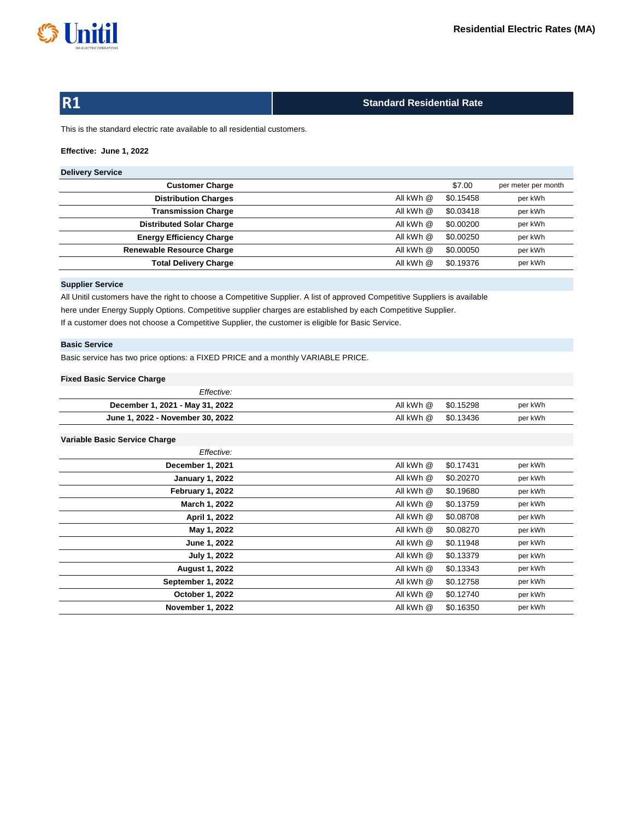

# **R1**

# **Standard Residential Rate**

This is the standard electric rate available to all residential customers.

# **Effective: June 1, 2022**

# **Delivery Service**

| <b>Customer Charge</b>           |           | \$7.00    | per meter per month |
|----------------------------------|-----------|-----------|---------------------|
| <b>Distribution Charges</b>      | All kWh @ | \$0.15458 | per kWh             |
| <b>Transmission Charge</b>       | All kWh @ | \$0.03418 | per kWh             |
| <b>Distributed Solar Charge</b>  | All kWh @ | \$0.00200 | per kWh             |
| <b>Energy Efficiency Charge</b>  | All kWh @ | \$0.00250 | per kWh             |
| <b>Renewable Resource Charge</b> | All kWh @ | \$0.00050 | per kWh             |
| <b>Total Delivery Charge</b>     | All kWh @ | \$0.19376 | per kWh             |
|                                  |           |           |                     |

## **Supplier Service**

If a customer does not choose a Competitive Supplier, the customer is eligible for Basic Service. All Unitil customers have the right to choose a Competitive Supplier. A list of approved Competitive Suppliers is available here under Energy Supply Options. Competitive supplier charges are established by each Competitive Supplier.

# **Basic Service**

Basic service has two price options: a FIXED PRICE and a monthly VARIABLE PRICE.

## **Fixed Basic Service Charge**

| Effective:                       |                   |         |
|----------------------------------|-------------------|---------|
| December 1, 2021 - May 31, 2022  | AllkWh@ \$0.15298 | per kWh |
| June 1, 2022 - November 30, 2022 | AllkWh@ \$0.13436 | per kWh |

## **Variable Basic Service Charge**

| Effective:              |           |           |         |
|-------------------------|-----------|-----------|---------|
| December 1, 2021        | All kWh @ | \$0.17431 | per kWh |
| <b>January 1, 2022</b>  | All kWh @ | \$0.20270 | per kWh |
| February 1, 2022        | All kWh @ | \$0.19680 | per kWh |
| March 1, 2022           | All kWh @ | \$0.13759 | per kWh |
| April 1, 2022           | All kWh @ | \$0.08708 | per kWh |
| May 1, 2022             | All kWh @ | \$0.08270 | per kWh |
| June 1, 2022            | All kWh @ | \$0.11948 | per kWh |
| July 1, 2022            | All kWh @ | \$0.13379 | per kWh |
| <b>August 1, 2022</b>   | All kWh @ | \$0.13343 | per kWh |
| September 1, 2022       | All kWh @ | \$0.12758 | per kWh |
| October 1, 2022         | All kWh @ | \$0.12740 | per kWh |
| <b>November 1, 2022</b> | All kWh @ | \$0.16350 | per kWh |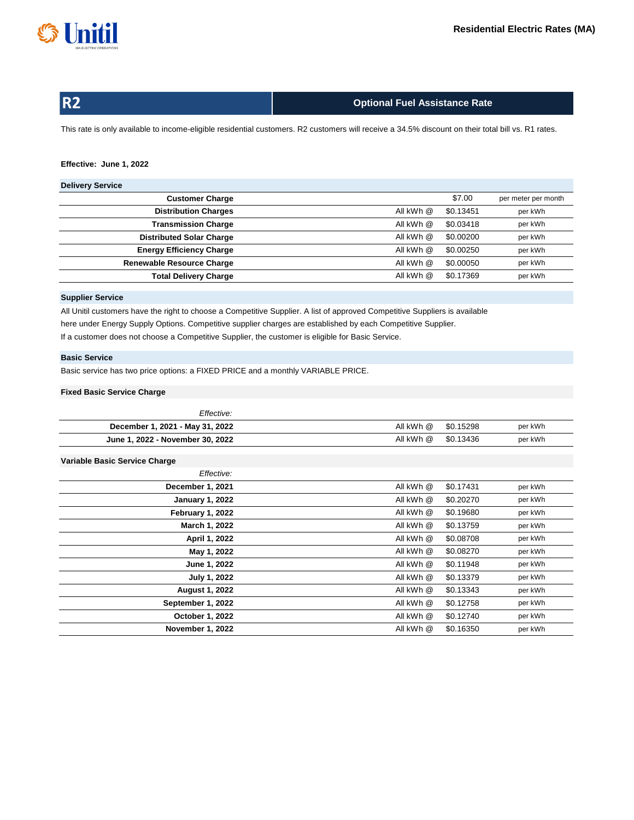

| <b>R2</b> |  |  |
|-----------|--|--|
|           |  |  |
|           |  |  |

# **Optional Fuel Assistance Rate**

This rate is only available to income-eligible residential customers. R2 customers will receive a 34.5% discount on their total bill vs. R1 rates.

## **Effective: June 1, 2022**

# **Delivery Service**

| --------------                   |           |           |                     |
|----------------------------------|-----------|-----------|---------------------|
| <b>Customer Charge</b>           |           | \$7.00    | per meter per month |
| <b>Distribution Charges</b>      | All kWh @ | \$0.13451 | per kWh             |
| <b>Transmission Charge</b>       | All kWh @ | \$0.03418 | per kWh             |
| <b>Distributed Solar Charge</b>  | All kWh @ | \$0.00200 | per kWh             |
| <b>Energy Efficiency Charge</b>  | All kWh @ | \$0.00250 | per kWh             |
| <b>Renewable Resource Charge</b> | All kWh @ | \$0.00050 | per kWh             |
| <b>Total Delivery Charge</b>     | All kWh @ | \$0.17369 | per kWh             |
|                                  |           |           |                     |

## **Supplier Service**

If a customer does not choose a Competitive Supplier, the customer is eligible for Basic Service. All Unitil customers have the right to choose a Competitive Supplier. A list of approved Competitive Suppliers is available here under Energy Supply Options. Competitive supplier charges are established by each Competitive Supplier.

## **Basic Service**

Basic service has two price options: a FIXED PRICE and a monthly VARIABLE PRICE.

## **Fixed Basic Service Charge**

| Effective:                       |           |           |         |
|----------------------------------|-----------|-----------|---------|
| December 1, 2021 - May 31, 2022  | All kWh @ | \$0.15298 | per kWh |
| June 1, 2022 - November 30, 2022 | All kWh @ | \$0.13436 | per kWh |

## **Variable Basic Service Charge**

| Effective:              |           |           |         |
|-------------------------|-----------|-----------|---------|
| December 1, 2021        | All kWh @ | \$0.17431 | per kWh |
| <b>January 1, 2022</b>  | All kWh @ | \$0.20270 | per kWh |
| February 1, 2022        | All kWh @ | \$0.19680 | per kWh |
| <b>March 1, 2022</b>    | All kWh @ | \$0.13759 | per kWh |
| April 1, 2022           | All kWh @ | \$0.08708 | per kWh |
| May 1, 2022             | All kWh @ | \$0.08270 | per kWh |
| June 1, 2022            | All kWh @ | \$0.11948 | per kWh |
| July 1, 2022            | All kWh @ | \$0.13379 | per kWh |
| <b>August 1, 2022</b>   | All kWh @ | \$0.13343 | per kWh |
| September 1, 2022       | All kWh @ | \$0.12758 | per kWh |
| October 1, 2022         | All kWh @ | \$0.12740 | per kWh |
| <b>November 1, 2022</b> | All kWh @ | \$0.16350 | per kWh |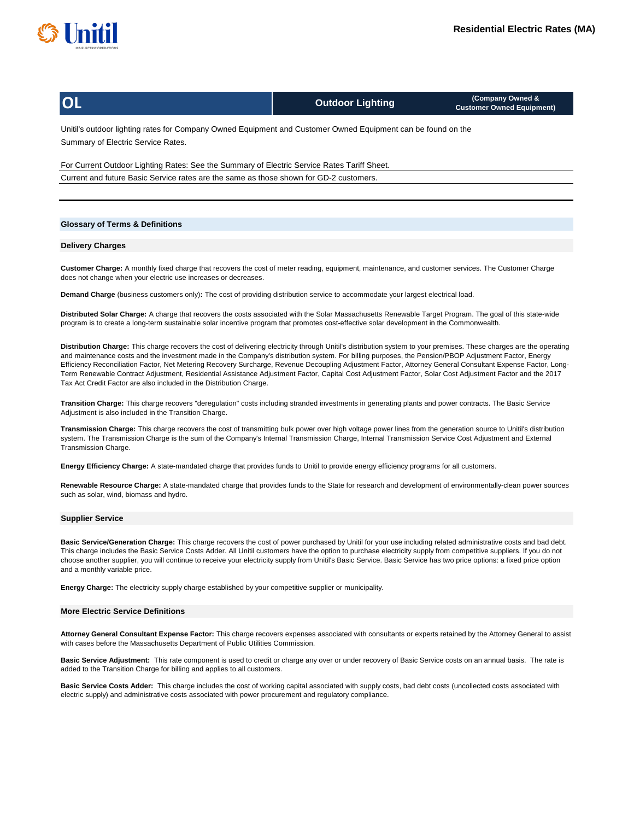

| <b>OL</b>                                                                                                               | <b>Outdoor Lighting</b> | (Company Owned &<br><b>Customer Owned Equipment)</b> |  |  |  |
|-------------------------------------------------------------------------------------------------------------------------|-------------------------|------------------------------------------------------|--|--|--|
| Hability and containing actor for According Annual Equipment and Acctorian Annual Equipment and the found on the $\sim$ |                         |                                                      |  |  |  |

Summary of Electric Service Rates. Unitil's outdoor lighting rates for Company Owned Equipment and Customer Owned Equipment can be found on the

For Current Outdoor Lighting Rates: See the Summary of Electric Service Rates Tariff Sheet. Current and future Basic Service rates are the same as those shown for GD-2 customers.

### **Glossary of Terms & Definitions**

#### **Delivery Charges**

**Customer Charge:** A monthly fixed charge that recovers the cost of meter reading, equipment, maintenance, and customer services. The Customer Charge does not change when your electric use increases or decreases.

**Demand Charge** (business customers only)**:** The cost of providing distribution service to accommodate your largest electrical load.

**Distributed Solar Charge:** A charge that recovers the costs associated with the Solar Massachusetts Renewable Target Program. The goal of this state-wide program is to create a long-term sustainable solar incentive program that promotes cost-effective solar development in the Commonwealth.

**Distribution Charge:** This charge recovers the cost of delivering electricity through Unitil's distribution system to your premises. These charges are the operating and maintenance costs and the investment made in the Company's distribution system. For billing purposes, the Pension/PBOP Adjustment Factor, Energy Efficiency Reconciliation Factor, Net Metering Recovery Surcharge, Revenue Decoupling Adjustment Factor, Attorney General Consultant Expense Factor, Long-Term Renewable Contract Adjustment, Residential Assistance Adjustment Factor, Capital Cost Adjustment Factor, Solar Cost Adjustment Factor and the 2017 Tax Act Credit Factor are also included in the Distribution Charge.

**Transition Charge:** This charge recovers "deregulation" costs including stranded investments in generating plants and power contracts. The Basic Service Adjustment is also included in the Transition Charge.

**Transmission Charge:** This charge recovers the cost of transmitting bulk power over high voltage power lines from the generation source to Unitil's distribution system. The Transmission Charge is the sum of the Company's Internal Transmission Charge, Internal Transmission Service Cost Adjustment and External Transmission Charge.

**Energy Efficiency Charge:** A state-mandated charge that provides funds to Unitil to provide energy efficiency programs for all customers.

**Renewable Resource Charge:** A state-mandated charge that provides funds to the State for research and development of environmentally-clean power sources such as solar, wind, biomass and hydro.

#### **Supplier Service**

**Basic Service/Generation Charge:** This charge recovers the cost of power purchased by Unitil for your use including related administrative costs and bad debt. This charge includes the Basic Service Costs Adder. All Unitil customers have the option to purchase electricity supply from competitive suppliers. If you do not choose another supplier, you will continue to receive your electricity supply from Unitil's Basic Service. Basic Service has two price options: a fixed price option and a monthly variable price.

**Energy Charge:** The electricity supply charge established by your competitive supplier or municipality.

#### **More Electric Service Definitions**

**Attorney General Consultant Expense Factor:** This charge recovers expenses associated with consultants or experts retained by the Attorney General to assist with cases before the Massachusetts Department of Public Utilities Commission.

**Basic Service Adjustment:** This rate component is used to credit or charge any over or under recovery of Basic Service costs on an annual basis. The rate is added to the Transition Charge for billing and applies to all customers.

**Basic Service Costs Adder:** This charge includes the cost of working capital associated with supply costs, bad debt costs (uncollected costs associated with electric supply) and administrative costs associated with power procurement and regulatory compliance.